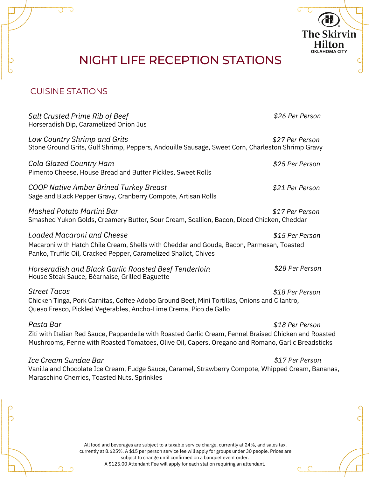# NIGHT LIFE RECEPTION STATIONS

 $\overline{G}$ 

 $\cap$ 

**The Skirvin Hilton** OKLAHOMA CITY

# CUISINE STATIONS

| <b>Salt Crusted Prime Rib of Beef</b><br>Horseradish Dip, Caramelized Onion Jus                                                                                                                                          | \$26 Per Person |
|--------------------------------------------------------------------------------------------------------------------------------------------------------------------------------------------------------------------------|-----------------|
| Low Country Shrimp and Grits<br>Stone Ground Grits, Gulf Shrimp, Peppers, Andouille Sausage, Sweet Corn, Charleston Shrimp Gravy                                                                                         | \$27 Per Person |
| Cola Glazed Country Ham<br>Pimento Cheese, House Bread and Butter Pickles, Sweet Rolls                                                                                                                                   | \$25 Per Person |
| <b>COOP Native Amber Brined Turkey Breast</b><br>Sage and Black Pepper Gravy, Cranberry Compote, Artisan Rolls                                                                                                           | \$21 Per Person |
| Mashed Potato Martini Bar<br>Smashed Yukon Golds, Creamery Butter, Sour Cream, Scallion, Bacon, Diced Chicken, Cheddar                                                                                                   | \$17 Per Person |
| Loaded Macaroni and Cheese<br>Macaroni with Hatch Chile Cream, Shells with Cheddar and Gouda, Bacon, Parmesan, Toasted<br>Panko, Truffle Oil, Cracked Pepper, Caramelized Shallot, Chives                                | \$15 Per Person |
| Horseradish and Black Garlic Roasted Beef Tenderloin<br>House Steak Sauce, Béarnaise, Grilled Baguette                                                                                                                   | \$28 Per Person |
| <b>Street Tacos</b><br>Chicken Tinga, Pork Carnitas, Coffee Adobo Ground Beef, Mini Tortillas, Onions and Cilantro,<br>Queso Fresco, Pickled Vegetables, Ancho-Lime Crema, Pico de Gallo                                 | \$18 Per Person |
| Pasta Bar<br>Ziti with Italian Red Sauce, Pappardelle with Roasted Garlic Cream, Fennel Braised Chicken and Roasted<br>Mushrooms, Penne with Roasted Tomatoes, Olive Oil, Capers, Oregano and Romano, Garlic Breadsticks | \$18 Per Person |
| Ice Cream Sundae Bar                                                                                                                                                                                                     | \$17 Per Person |

Vanilla and Chocolate Ice Cream, Fudge Sauce, Caramel, Strawberry Compote, Whipped Cream, Bananas, Maraschino Cherries, Toasted Nuts, Sprinkles

> All food and beverages are subject to a taxable service charge, currently at 24%, and sales tax, currently at 8.625%. A \$15 per person service fee will apply for groups under 30 people. Prices are subject to change until confirmed on a banquet event order. A \$125.00 Attendant Fee will apply for each station requiring an attendant.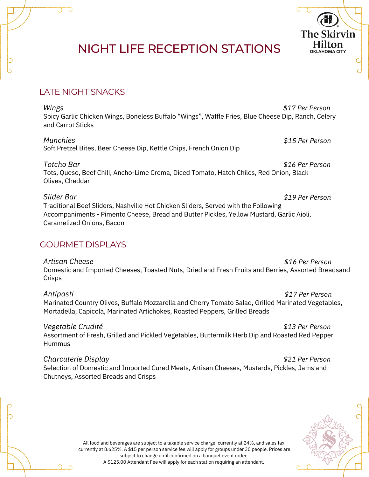# NIGHT LIFE RECEPTION STATIONS

# LATE NIGHT SNACKS

Spicy Garlic Chicken Wings, Boneless Buffalo "Wings", Waffle Fries, Blue Cheese Dip, Ranch, Celery and Carrot Sticks *\$17 Per Person Wings*

Soft Pretzel Bites, Beer Cheese Dip, Kettle Chips, French Onion Dip *Munchies*

Tots, Queso, Beef Chili, Ancho-Lime Crema, Diced Tomato, Hatch Chiles, Red Onion, Black Olives, Cheddar *\$16 Per Person Totcho Bar*

### *Slider Bar*

Traditional Beef Sliders, Nashville Hot Chicken Sliders, Served with the Following Accompaniments - Pimento Cheese, Bread and Butter Pickles, Yellow Mustard, Garlic Aioli, Caramelized Onions, Bacon

# GOURMET DISPLAYS

*Artisan Cheese*

Domestic and Imported Cheeses, Toasted Nuts, Dried and Fresh Fruits and Berries, Assorted Breadsand **Crisps** *\$16 Per Person*

Marinated Country Olives, Buffalo Mozzarella and Cherry Tomato Salad, Grilled Marinated Vegetables, Mortadella, Capicola, Marinated Artichokes, Roasted Peppers, Grilled Breads *\$17 Per Person Antipasti*

Assortment of Fresh, Grilled and Pickled Vegetables, Buttermilk Herb Dip and Roasted Red Pepper **Hummus** *\$13 Per Person Vegetable Crudité*

Selection of Domestic and Imported Cured Meats, Artisan Cheeses, Mustards, Pickles, Jams and Chutneys, Assorted Breads and Crisps *\$21 Per Person Charcuterie Display*



*\$19 Per Person*

*\$15 Per Person*

**The Skirvin** Hilton **OKLAHOMA CITY** 

All food and beverages are subject to a taxable service charge, currently at 24%, and sales tax, currently at 8.625%. A \$15 per person service fee will apply for groups under 30 people. Prices are subject to change until confirmed on a banquet event order. A \$125.00 Attendant Fee will apply for each station requiring an attendant.